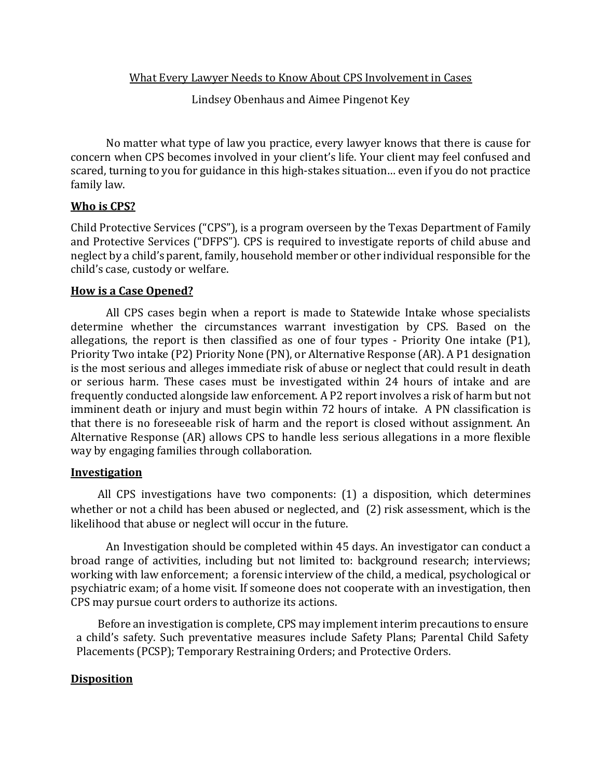What Every Lawyer Needs to Know About CPS Involvement in Cases

Lindsey Obenhaus and Aimee Pingenot Key

No matter what type of law you practice, every lawyer knows that there is cause for concern when CPS becomes involved in your client's life. Your client may feel confused and scared, turning to you for guidance in this high-stakes situation… even if you do not practice family law.

## **Who is CPS?**

Child Protective Services ("CPS"), is a program overseen by the Texas Department of Family and Protective Services ("DFPS"). CPS is required to investigate reports of child abuse and neglect by a child's parent, family, household member or other individual responsible for the child's case, custody or welfare.

## **How is a Case Opened?**

All CPS cases begin when a report is made to Statewide Intake whose specialists determine whether the circumstances warrant investigation by CPS. Based on the allegations, the report is then classified as one of four types - Priority One intake (P1), Priority Two intake (P2) Priority None (PN), or Alternative Response (AR). A P1 designation is the most serious and alleges immediate risk of abuse or neglect that could result in death or serious harm. These cases must be investigated within 24 hours of intake and are frequently conducted alongside law enforcement. A P2 report involves a risk of harm but not imminent death or injury and must begin within 72 hours of intake. A PN classification is that there is no foreseeable risk of harm and the report is closed without assignment. An Alternative Response (AR) allows CPS to handle less serious allegations in a more flexible way by engaging families through collaboration.

### **Investigation**

All CPS investigations have two components: (1) a disposition, which determines whether or not a child has been abused or neglected, and (2) risk assessment, which is the likelihood that abuse or neglect will occur in the future.

An Investigation should be completed within 45 days. An investigator can conduct a broad range of activities, including but not limited to: background research; interviews; working with law enforcement; a forensic interview of the child, a medical, psychological or psychiatric exam; of a home visit. If someone does not cooperate with an investigation, then CPS may pursue court orders to authorize its actions.

Before an investigation is complete, CPS may implement interim precautions to ensure a child's safety. Such preventative measures include Safety Plans; Parental Child Safety Placements (PCSP); Temporary Restraining Orders; and Protective Orders.

## **Disposition**